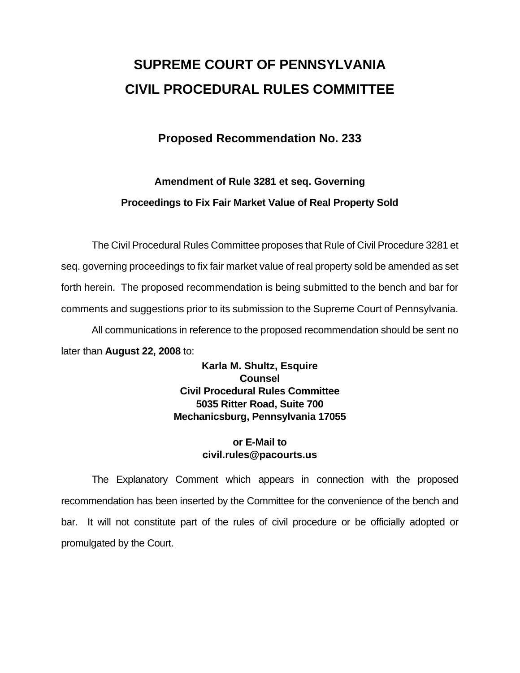# **SUPREME COURT OF PENNSYLVANIA CIVIL PROCEDURAL RULES COMMITTEE**

## **Proposed Recommendation No. 233**

# **Amendment of Rule 3281 et seq. Governing Proceedings to Fix Fair Market Value of Real Property Sold**

 The Civil Procedural Rules Committee proposes that Rule of Civil Procedure 3281 et seq. governing proceedings to fix fair market value of real property sold be amended as set forth herein. The proposed recommendation is being submitted to the bench and bar for comments and suggestions prior to its submission to the Supreme Court of Pennsylvania. All communications in reference to the proposed recommendation should be sent no later than **August 22, 2008** to:

> **Karla M. Shultz, Esquire Counsel Civil Procedural Rules Committee 5035 Ritter Road, Suite 700 Mechanicsburg, Pennsylvania 17055**

### **or E-Mail to civil.rules@pacourts.us**

 The Explanatory Comment which appears in connection with the proposed recommendation has been inserted by the Committee for the convenience of the bench and bar. It will not constitute part of the rules of civil procedure or be officially adopted or promulgated by the Court.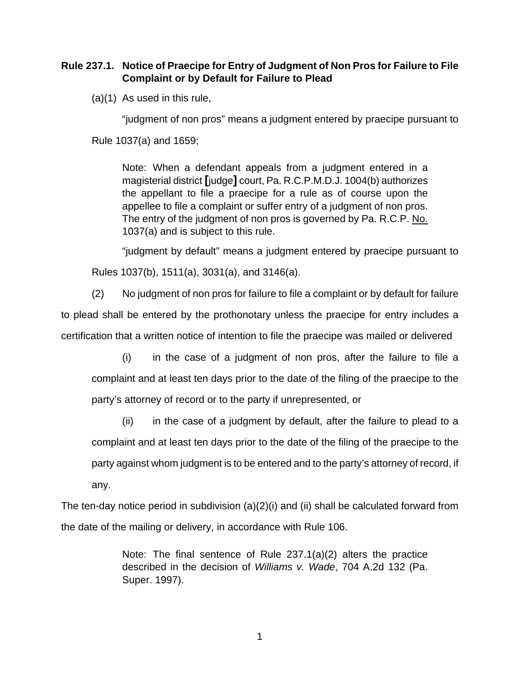### **Rule 237.1. Notice of Praecipe for Entry of Judgment of Non Pros for Failure to File Complaint or by Default for Failure to Plead**

(a)(1) As used in this rule,

"judgment of non pros" means a judgment entered by praecipe pursuant to

Rule 1037(a) and 1659;

Note: When a defendant appeals from a judgment entered in a magisterial district **[**judge**]** court, Pa. R.C.P.M.D.J. 1004(b) authorizes the appellant to file a praecipe for a rule as of course upon the appellee to file a complaint or suffer entry of a judgment of non pros. The entry of the judgment of non pros is governed by Pa. R.C.P. No. 1037(a) and is subject to this rule.

 "judgment by default" means a judgment entered by praecipe pursuant to Rules 1037(b), 1511(a), 3031(a), and 3146(a).

(2) No judgment of non pros for failure to file a complaint or by default for failure to plead shall be entered by the prothonotary unless the praecipe for entry includes a certification that a written notice of intention to file the praecipe was mailed or delivered

(i) in the case of a judgment of non pros, after the failure to file a complaint and at least ten days prior to the date of the filing of the praecipe to the party's attorney of record or to the party if unrepresented, or

(ii) in the case of a judgment by default, after the failure to plead to a complaint and at least ten days prior to the date of the filing of the praecipe to the party against whom judgment is to be entered and to the party's attorney of record, if any.

The ten-day notice period in subdivision (a)(2)(i) and (ii) shall be calculated forward from the date of the mailing or delivery, in accordance with Rule 106.

> Note: The final sentence of Rule 237.1(a)(2) alters the practice described in the decision of *Williams v. Wade*, 704 A.2d 132 (Pa. Super. 1997).

> > 1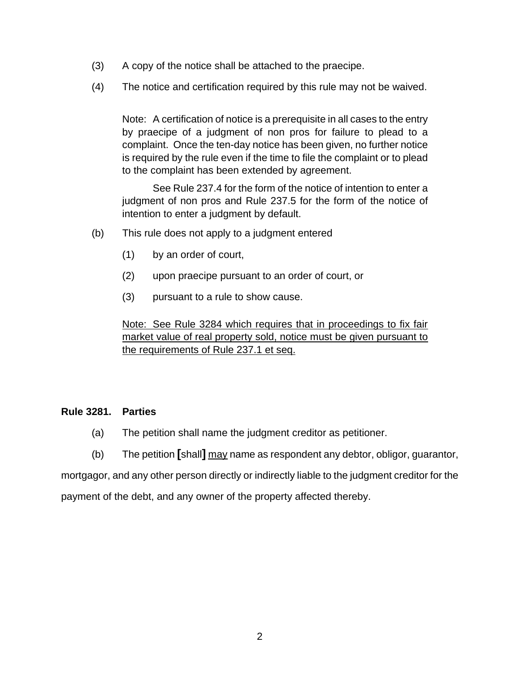- (3) A copy of the notice shall be attached to the praecipe.
- (4) The notice and certification required by this rule may not be waived.

Note: A certification of notice is a prerequisite in all cases to the entry by praecipe of a judgment of non pros for failure to plead to a complaint. Once the ten-day notice has been given, no further notice is required by the rule even if the time to file the complaint or to plead to the complaint has been extended by agreement.

 See Rule 237.4 for the form of the notice of intention to enter a judgment of non pros and Rule 237.5 for the form of the notice of intention to enter a judgment by default.

- (b) This rule does not apply to a judgment entered
	- (1) by an order of court,
	- (2) upon praecipe pursuant to an order of court, or
	- (3) pursuant to a rule to show cause.

Note: See Rule 3284 which requires that in proceedings to fix fair market value of real property sold, notice must be given pursuant to the requirements of Rule 237.1 et seq.

#### **Rule 3281. Parties**

- (a) The petition shall name the judgment creditor as petitioner.
- (b) The petition **[**shall**]** may name as respondent any debtor, obligor, guarantor,

mortgagor, and any other person directly or indirectly liable to the judgment creditor for the payment of the debt, and any owner of the property affected thereby.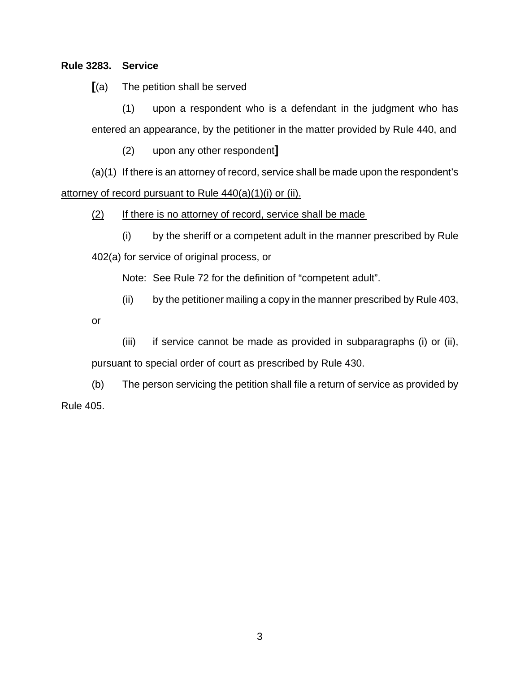#### **Rule 3283. Service**

**[**(a) The petition shall be served

(1) upon a respondent who is a defendant in the judgment who has entered an appearance, by the petitioner in the matter provided by Rule 440, and

(2) upon any other respondent**]**

 $(a)(1)$  If there is an attorney of record, service shall be made upon the respondent's attorney of record pursuant to Rule 440(a)(1)(i) or (ii).

(2) If there is no attorney of record, service shall be made

(i) by the sheriff or a competent adult in the manner prescribed by Rule 402(a) for service of original process, or

Note: See Rule 72 for the definition of "competent adult".

(ii) by the petitioner mailing a copy in the manner prescribed by Rule 403,

or

(iii) if service cannot be made as provided in subparagraphs (i) or (ii), pursuant to special order of court as prescribed by Rule 430.

 (b) The person servicing the petition shall file a return of service as provided by Rule 405.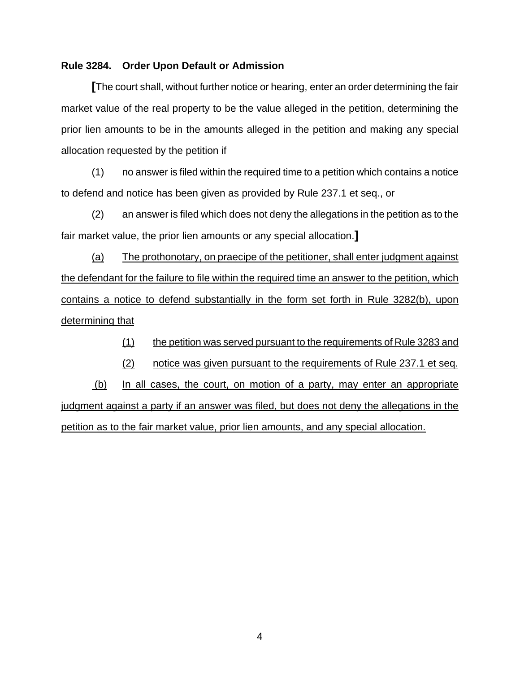#### **Rule 3284. Order Upon Default or Admission**

**[**The court shall, without further notice or hearing, enter an order determining the fair market value of the real property to be the value alleged in the petition, determining the prior lien amounts to be in the amounts alleged in the petition and making any special allocation requested by the petition if

 (1) no answer is filed within the required time to a petition which contains a notice to defend and notice has been given as provided by Rule 237.1 et seq., or

 (2) an answer is filed which does not deny the allegations in the petition as to the fair market value, the prior lien amounts or any special allocation.**]**

 (a) The prothonotary, on praecipe of the petitioner, shall enter judgment against the defendant for the failure to file within the required time an answer to the petition, which contains a notice to defend substantially in the form set forth in Rule 3282(b), upon determining that

(1) the petition was served pursuant to the requirements of Rule 3283 and

(2) notice was given pursuant to the requirements of Rule 237.1 et seq.

 (b) In all cases, the court, on motion of a party, may enter an appropriate judgment against a party if an answer was filed, but does not deny the allegations in the petition as to the fair market value, prior lien amounts, and any special allocation.

4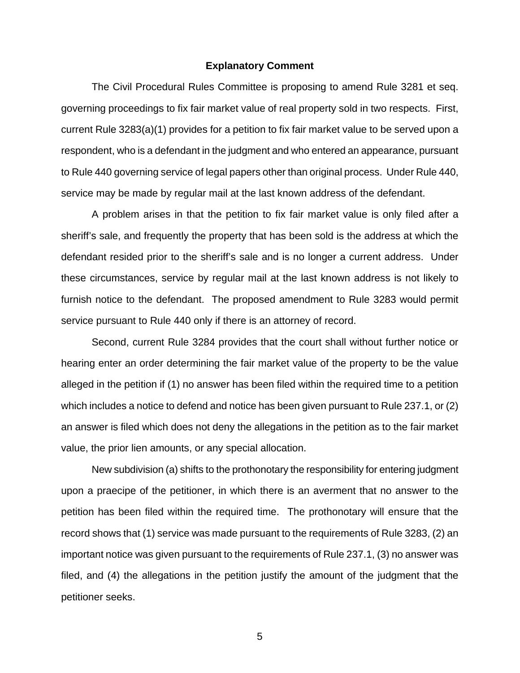#### **Explanatory Comment**

 The Civil Procedural Rules Committee is proposing to amend Rule 3281 et seq. governing proceedings to fix fair market value of real property sold in two respects. First, current Rule 3283(a)(1) provides for a petition to fix fair market value to be served upon a respondent, who is a defendant in the judgment and who entered an appearance, pursuant to Rule 440 governing service of legal papers other than original process. Under Rule 440, service may be made by regular mail at the last known address of the defendant.

A problem arises in that the petition to fix fair market value is only filed after a sheriff's sale, and frequently the property that has been sold is the address at which the defendant resided prior to the sheriff's sale and is no longer a current address. Under these circumstances, service by regular mail at the last known address is not likely to furnish notice to the defendant. The proposed amendment to Rule 3283 would permit service pursuant to Rule 440 only if there is an attorney of record.

 Second, current Rule 3284 provides that the court shall without further notice or hearing enter an order determining the fair market value of the property to be the value alleged in the petition if (1) no answer has been filed within the required time to a petition which includes a notice to defend and notice has been given pursuant to Rule 237.1, or (2) an answer is filed which does not deny the allegations in the petition as to the fair market value, the prior lien amounts, or any special allocation.

New subdivision (a) shifts to the prothonotary the responsibility for entering judgment upon a praecipe of the petitioner, in which there is an averment that no answer to the petition has been filed within the required time. The prothonotary will ensure that the record shows that (1) service was made pursuant to the requirements of Rule 3283, (2) an important notice was given pursuant to the requirements of Rule 237.1, (3) no answer was filed, and (4) the allegations in the petition justify the amount of the judgment that the petitioner seeks.

5